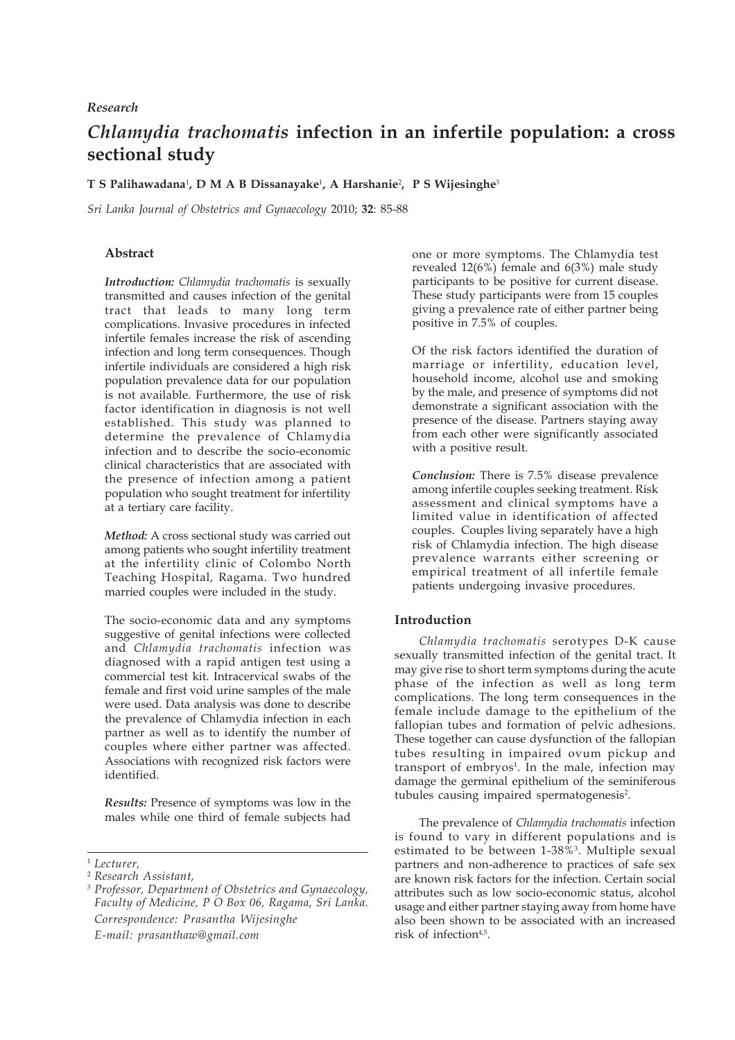## *Research*

# *Chlamydia trachomatis* **infection in an infertile population: a cross sectional study**

## **T S Palihawadana**<sup>1</sup> **, D M A B Dissanayake**<sup>1</sup> **, A Harshanie**<sup>2</sup> **, P S Wijesinghe**<sup>3</sup>

*Sri Lanka Journal of Obstetrics and Gynaecology* 2010; **32**: 85-88

## **Abstract**

*Introduction: Chlamydia trachomatis* is sexually transmitted and causes infection of the genital tract that leads to many long term complications. Invasive procedures in infected infertile females increase the risk of ascending infection and long term consequences. Though infertile individuals are considered a high risk population prevalence data for our population is not available. Furthermore, the use of risk factor identification in diagnosis is not well established. This study was planned to determine the prevalence of Chlamydia infection and to describe the socio-economic clinical characteristics that are associated with the presence of infection among a patient population who sought treatment for infertility at a tertiary care facility.

*Method:* A cross sectional study was carried out among patients who sought infertility treatment at the infertility clinic of Colombo North Teaching Hospital, Ragama. Two hundred married couples were included in the study.

The socio-economic data and any symptoms suggestive of genital infections were collected and *Chlamydia trachomatis* infection was diagnosed with a rapid antigen test using a commercial test kit. Intracervical swabs of the female and first void urine samples of the male were used. Data analysis was done to describe the prevalence of Chlamydia infection in each partner as well as to identify the number of couples where either partner was affected. Associations with recognized risk factors were identified.

*Results:* Presence of symptoms was low in the males while one third of female subjects had

one or more symptoms. The Chlamydia test revealed 12(6%) female and 6(3%) male study participants to be positive for current disease. These study participants were from 15 couples giving a prevalence rate of either partner being positive in 7.5% of couples.

Of the risk factors identified the duration of marriage or infertility, education level, household income, alcohol use and smoking by the male, and presence of symptoms did not demonstrate a significant association with the presence of the disease. Partners staying away from each other were significantly associated with a positive result.

*Conclusion:* There is 7.5% disease prevalence among infertile couples seeking treatment. Risk assessment and clinical symptoms have a limited value in identification of affected couples. Couples living separately have a high risk of Chlamydia infection. The high disease prevalence warrants either screening or empirical treatment of all infertile female patients undergoing invasive procedures.

## **Introduction**

*Chlamydia trachomatis* serotypes D-K cause sexually transmitted infection of the genital tract. It may give rise to short term symptoms during the acute phase of the infection as well as long term complications. The long term consequences in the female include damage to the epithelium of the fallopian tubes and formation of pelvic adhesions. These together can cause dysfunction of the fallopian tubes resulting in impaired ovum pickup and transport of embryos<sup>1</sup>. In the male, infection may damage the germinal epithelium of the seminiferous tubules causing impaired spermatogenesis<sup>2</sup>.

The prevalence of *Chlamydia trachomatis* infection is found to vary in different populations and is estimated to be between 1-38%<sup>3</sup>. Multiple sexual partners and non-adherence to practices of safe sex are known risk factors for the infection. Certain social attributes such as low socio-economic status, alcohol usage and either partner staying away from home have also been shown to be associated with an increased risk of infection<sup>4,5</sup>.

<sup>1</sup> *Lecturer,*

<sup>2</sup> *Research Assistant,*

<sup>3</sup> *Professor, Department of Obstetrics and Gynaecology, Faculty of Medicine, P O Box 06, Ragama, Sri Lanka. Correspondence: Prasantha Wijesinghe E-mail: prasanthaw@gmail.com*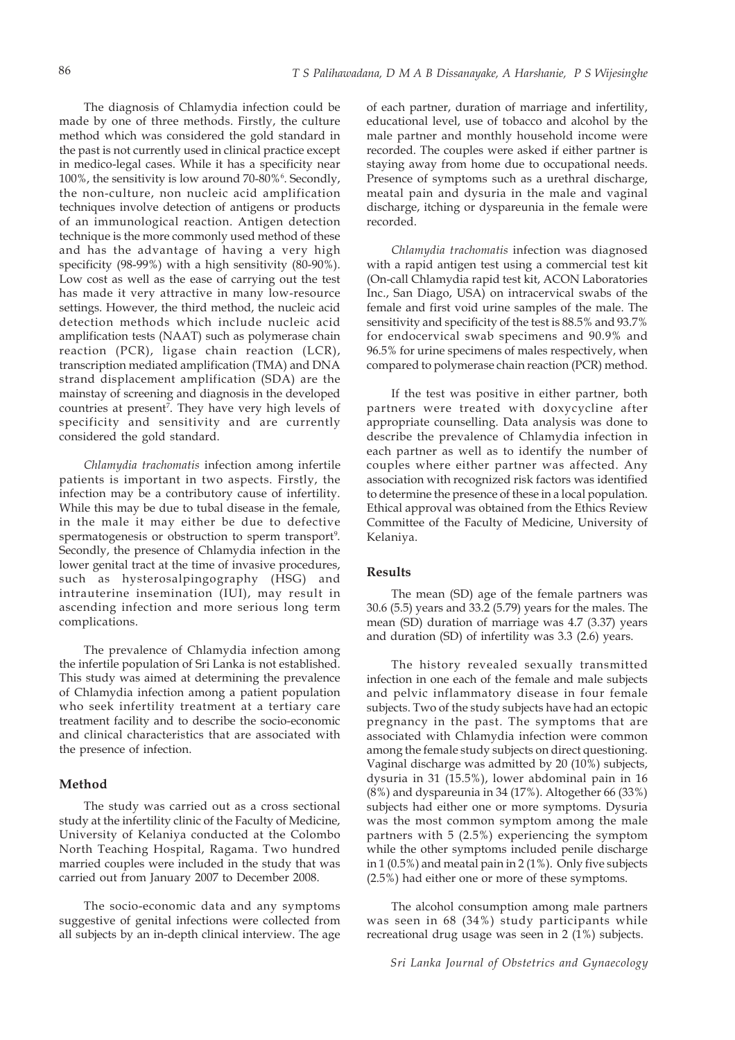The diagnosis of Chlamydia infection could be made by one of three methods. Firstly, the culture method which was considered the gold standard in the past is not currently used in clinical practice except in medico-legal cases. While it has a specificity near 100%, the sensitivity is low around 70-80%<sup>6</sup>. Secondly, the non-culture, non nucleic acid amplification techniques involve detection of antigens or products of an immunological reaction. Antigen detection technique is the more commonly used method of these and has the advantage of having a very high specificity (98-99%) with a high sensitivity (80-90%). Low cost as well as the ease of carrying out the test has made it very attractive in many low-resource settings. However, the third method, the nucleic acid detection methods which include nucleic acid amplification tests (NAAT) such as polymerase chain reaction (PCR), ligase chain reaction (LCR), transcription mediated amplification (TMA) and DNA strand displacement amplification (SDA) are the mainstay of screening and diagnosis in the developed countries at present7 . They have very high levels of specificity and sensitivity and are currently considered the gold standard.

*Chlamydia trachomatis* infection among infertile patients is important in two aspects. Firstly, the infection may be a contributory cause of infertility. While this may be due to tubal disease in the female, in the male it may either be due to defective spermatogenesis or obstruction to sperm transport<sup>9</sup>. Secondly, the presence of Chlamydia infection in the lower genital tract at the time of invasive procedures, such as hysterosalpingography (HSG) and intrauterine insemination (IUI), may result in ascending infection and more serious long term complications.

The prevalence of Chlamydia infection among the infertile population of Sri Lanka is not established. This study was aimed at determining the prevalence of Chlamydia infection among a patient population who seek infertility treatment at a tertiary care treatment facility and to describe the socio-economic and clinical characteristics that are associated with the presence of infection.

# **Method**

The study was carried out as a cross sectional study at the infertility clinic of the Faculty of Medicine, University of Kelaniya conducted at the Colombo North Teaching Hospital, Ragama. Two hundred married couples were included in the study that was carried out from January 2007 to December 2008.

The socio-economic data and any symptoms suggestive of genital infections were collected from all subjects by an in-depth clinical interview. The age

of each partner, duration of marriage and infertility, educational level, use of tobacco and alcohol by the male partner and monthly household income were recorded. The couples were asked if either partner is staying away from home due to occupational needs. Presence of symptoms such as a urethral discharge, meatal pain and dysuria in the male and vaginal discharge, itching or dyspareunia in the female were recorded.

*Chlamydia trachomatis* infection was diagnosed with a rapid antigen test using a commercial test kit (On-call Chlamydia rapid test kit, ACON Laboratories Inc., San Diago, USA) on intracervical swabs of the female and first void urine samples of the male. The sensitivity and specificity of the test is 88.5% and 93.7% for endocervical swab specimens and 90.9% and 96.5% for urine specimens of males respectively, when compared to polymerase chain reaction (PCR) method.

If the test was positive in either partner, both partners were treated with doxycycline after appropriate counselling. Data analysis was done to describe the prevalence of Chlamydia infection in each partner as well as to identify the number of couples where either partner was affected. Any association with recognized risk factors was identified to determine the presence of these in a local population. Ethical approval was obtained from the Ethics Review Committee of the Faculty of Medicine, University of Kelaniya.

#### **Results**

The mean (SD) age of the female partners was 30.6 (5.5) years and 33.2 (5.79) years for the males. The mean (SD) duration of marriage was 4.7 (3.37) years and duration (SD) of infertility was 3.3 (2.6) years.

The history revealed sexually transmitted infection in one each of the female and male subjects and pelvic inflammatory disease in four female subjects. Two of the study subjects have had an ectopic pregnancy in the past. The symptoms that are associated with Chlamydia infection were common among the female study subjects on direct questioning. Vaginal discharge was admitted by 20 (10%) subjects, dysuria in 31 (15.5%), lower abdominal pain in 16 (8%) and dyspareunia in 34 (17%). Altogether 66 (33%) subjects had either one or more symptoms. Dysuria was the most common symptom among the male partners with 5 (2.5%) experiencing the symptom while the other symptoms included penile discharge in 1 (0.5%) and meatal pain in 2 (1%). Only five subjects (2.5%) had either one or more of these symptoms.

The alcohol consumption among male partners was seen in 68 (34%) study participants while recreational drug usage was seen in 2 (1%) subjects.

*Sri Lanka Journal of Obstetrics and Gynaecology*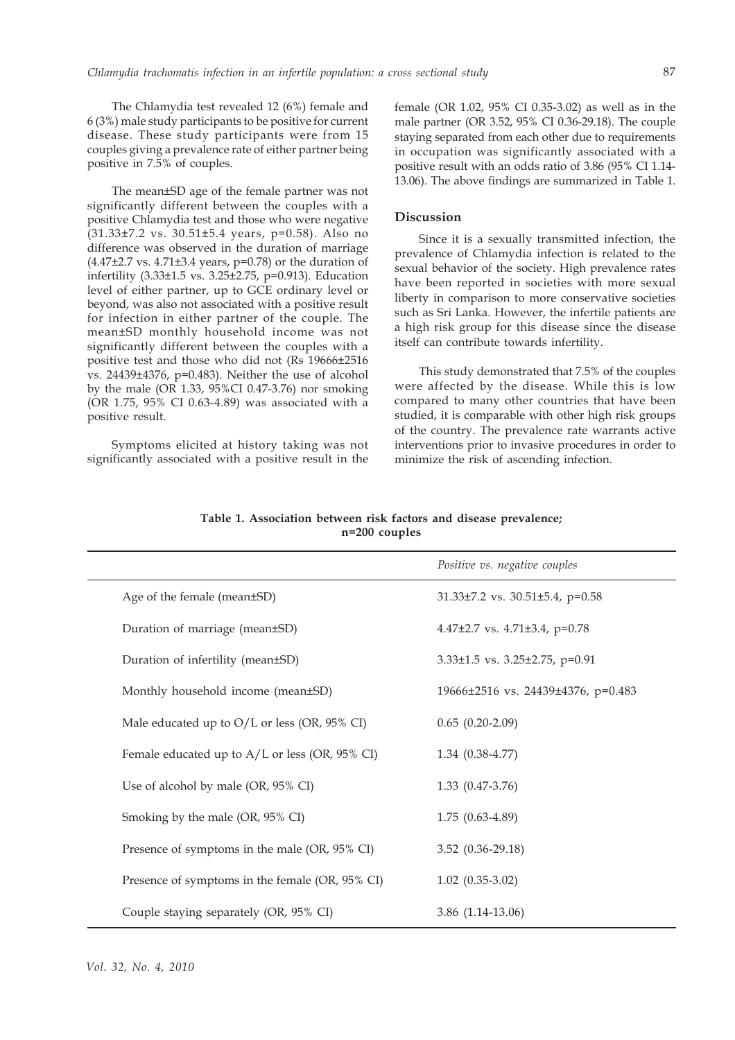87

The Chlamydia test revealed 12 (6%) female and 6 (3%) male study participants to be positive for current disease. These study participants were from 15 couples giving a prevalence rate of either partner being positive in 7.5% of couples.

The mean±SD age of the female partner was not significantly different between the couples with a positive Chlamydia test and those who were negative (31.33±7.2 vs. 30.51±5.4 years, p=0.58). Also no difference was observed in the duration of marriage (4.47±2.7 vs. 4.71±3.4 years, p=0.78) or the duration of infertility (3.33±1.5 vs. 3.25±2.75, p=0.913). Education level of either partner, up to GCE ordinary level or beyond, was also not associated with a positive result for infection in either partner of the couple. The mean±SD monthly household income was not significantly different between the couples with a positive test and those who did not (Rs 19666±2516 vs. 24439±4376, p=0.483). Neither the use of alcohol by the male (OR 1.33, 95%CI 0.47-3.76) nor smoking (OR 1.75, 95% CI 0.63-4.89) was associated with a positive result.

Symptoms elicited at history taking was not significantly associated with a positive result in the female (OR 1.02, 95% CI 0.35-3.02) as well as in the male partner (OR 3.52, 95% CI 0.36-29.18). The couple staying separated from each other due to requirements in occupation was significantly associated with a positive result with an odds ratio of 3.86 (95% CI 1.14- 13.06). The above findings are summarized in Table 1.

## **Discussion**

Since it is a sexually transmitted infection, the prevalence of Chlamydia infection is related to the sexual behavior of the society. High prevalence rates have been reported in societies with more sexual liberty in comparison to more conservative societies such as Sri Lanka. However, the infertile patients are a high risk group for this disease since the disease itself can contribute towards infertility.

This study demonstrated that 7.5% of the couples were affected by the disease. While this is low compared to many other countries that have been studied, it is comparable with other high risk groups of the country. The prevalence rate warrants active interventions prior to invasive procedures in order to minimize the risk of ascending infection.

|                                                  | Positive vs. negative couples             |
|--------------------------------------------------|-------------------------------------------|
| Age of the female (mean±SD)                      | 31.33±7.2 vs. 30.51±5.4, p=0.58           |
| Duration of marriage (mean±SD)                   | 4.47 $\pm$ 2.7 vs. 4.71 $\pm$ 3.4, p=0.78 |
| Duration of infertility (mean±SD)                | $3.33\pm1.5$ vs. $3.25\pm2.75$ , p=0.91   |
| Monthly household income (mean±SD)               | 19666±2516 vs. 24439±4376, p=0.483        |
| Male educated up to $O/L$ or less (OR, 95% CI)   | $0.65(0.20-2.09)$                         |
| Female educated up to $A/L$ or less (OR, 95% CI) | $1.34(0.38-4.77)$                         |
| Use of alcohol by male (OR, 95% CI)              | $1.33(0.47-3.76)$                         |
| Smoking by the male (OR, 95% CI)                 | $1.75(0.63-4.89)$                         |
| Presence of symptoms in the male (OR, 95% CI)    | $3.52$ $(0.36 - 29.18)$                   |
| Presence of symptoms in the female (OR, 95% CI)  | $1.02$ $(0.35-3.02)$                      |
| Couple staying separately (OR, 95% CI)           | 3.86 (1.14-13.06)                         |

**Table 1. Association between risk factors and disease prevalence; n=200 couples**